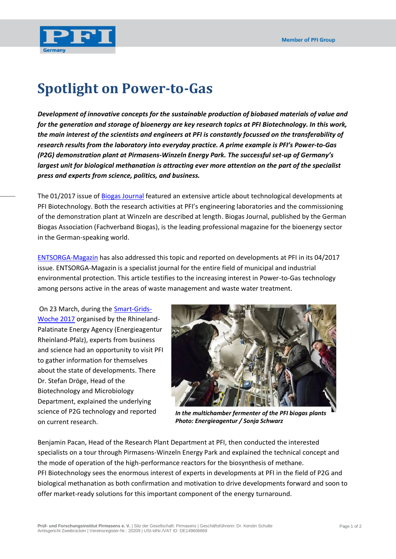

## **Spotlight on Power-to-Gas**

*Development of innovative concepts for the sustainable production of biobased materials of value and for the generation and storage of bioenergy are key research topics at PFI Biotechnology. In this work, the main interest of the scientists and engineers at PFI is constantly focussed on the transferability of research results from the laboratory into everyday practice. A prime example is PFI's Power-to-Gas (P2G) demonstration plant at Pirmasens-Winzeln Energy Park. The successful set-up of Germany's largest unit for biological methanation is attracting ever more attention on the part of the specialist press and experts from science, politics, and business.*

The 01/2017 issue of [Biogas Journal](http://www.biogas.org/edcom/webfvb.nsf/id/DE-Biogas-Journal) featured an extensive article about technological developments at PFI Biotechnology. Both the research activities at PFI's engineering laboratories and the commissioning of the demonstration plant at Winzeln are described at length. Biogas Journal, published by the German Biogas Association (Fachverband Biogas), is the leading professional magazine for the bioenergy sector in the German-speaking world.

[ENTSORGA-Magazin](http://www.entsorga-magazin.de/) has also addressed this topic and reported on developments at PFI in its 04/2017 issue. ENTSORGA-Magazin is a specialist journal for the entire field of municipal and industrial environmental protection. This article testifies to the increasing interest in Power-to-Gas technology among persons active in the areas of waste management and waste water treatment.

On 23 March, during the [Smart-Grids-](https://www.energieagentur.rlp.de/veranstaltungen/smart-grids-woche/rueckblick-smart-grids-woche-2017/fachexkursion-biologische-methanisierung/)[Woche 2017](https://www.energieagentur.rlp.de/veranstaltungen/smart-grids-woche/rueckblick-smart-grids-woche-2017/fachexkursion-biologische-methanisierung/) organised by the Rhineland-Palatinate Energy Agency (Energieagentur Rheinland-Pfalz), experts from business and science had an opportunity to visit PFI to gather information for themselves about the state of developments. There Dr. Stefan Dröge, Head of the Biotechnology and Microbiology Department, explained the underlying science of P2G technology and reported on current research.



*In the multichamber fermenter of the PFI biogas plants Photo: Energieagentur / Sonja Schwarz*

Benjamin Pacan, Head of the Research Plant Department at PFI, then conducted the interested specialists on a tour through Pirmasens-Winzeln Energy Park and explained the technical concept and the mode of operation of the high-performance reactors for the biosynthesis of methane. PFI Biotechnology sees the enormous interest of experts in developments at PFI in the field of P2G and biological methanation as both confirmation and motivation to drive developments forward and soon to offer market-ready solutions for this important component of the energy turnaround.